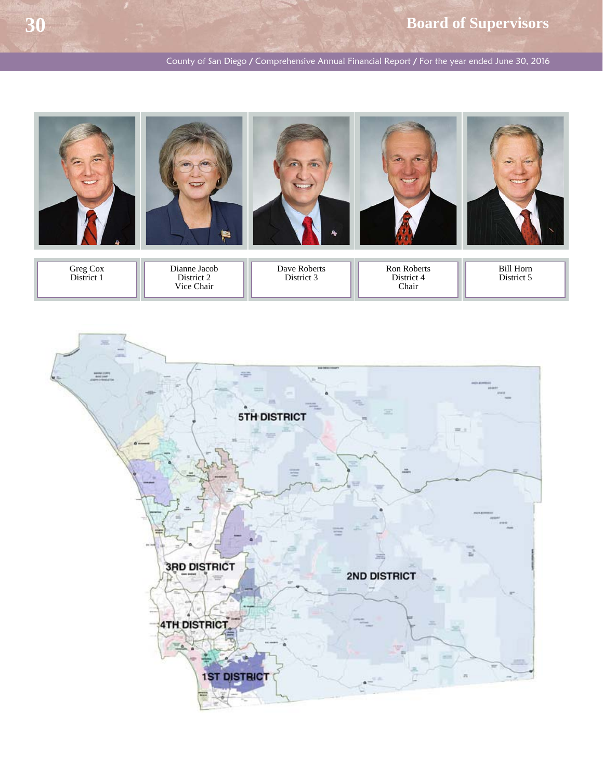County of San Diego / Comprehensive Annual Financial Report / For the year ended June 30, 2016



Greg Cox District 1 Dianne Jacob District 2 Vice Chair Ron Roberts District 4 Chair Bill Horn District 5 Dave Roberts District 3